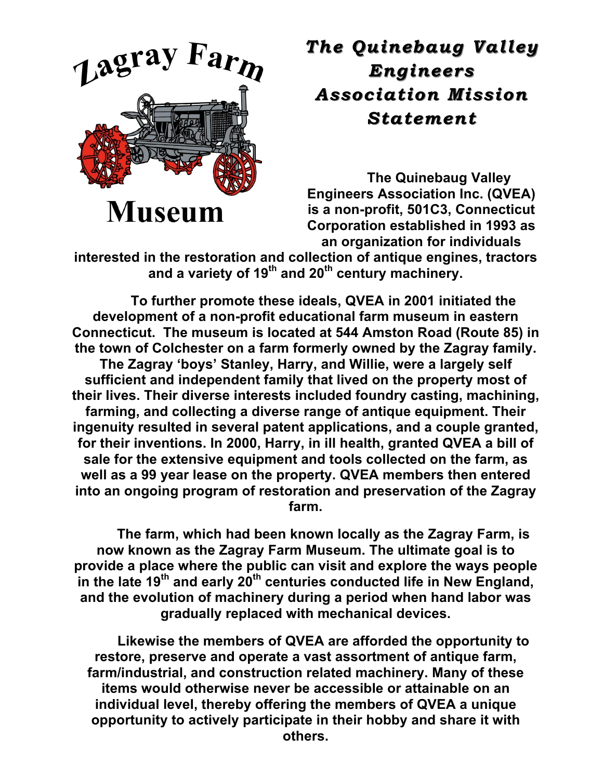

## **The Quinebaug Valley** *Engineers Engineers Association Mission Mission Statement Statement*

**The Quinebaug Valley Engineers Association Inc. (QVEA) is a non-profit, 501C3, Connecticut Corporation established in 1993 as an organization for individuals** 

**interested in the restoration and collection of antique engines, tractors and a variety of 19th and 20th century machinery.**

**To further promote these ideals, QVEA in 2001 initiated the development of a non-profit educational farm museum in eastern Connecticut. The museum is located at 544 Amston Road (Route 85) in the town of Colchester on a farm formerly owned by the Zagray family. The Zagray 'boys' Stanley, Harry, and Willie, were a largely self sufficient and independent family that lived on the property most of their lives. Their diverse interests included foundry casting, machining, farming, and collecting a diverse range of antique equipment. Their ingenuity resulted in several patent applications, and a couple granted, for their inventions. In 2000, Harry, in ill health, granted QVEA a bill of sale for the extensive equipment and tools collected on the farm, as well as a 99 year lease on the property. QVEA members then entered into an ongoing program of restoration and preservation of the Zagray farm.**

**The farm, which had been known locally as the Zagray Farm, is now known as the Zagray Farm Museum. The ultimate goal is to provide a place where the public can visit and explore the ways people in the late 19th and early 20th centuries conducted life in New England, and the evolution of machinery during a period when hand labor was gradually replaced with mechanical devices.**

**Likewise the members of QVEA are afforded the opportunity to restore, preserve and operate a vast assortment of antique farm, farm/industrial, and construction related machinery. Many of these items would otherwise never be accessible or attainable on an individual level, thereby offering the members of QVEA a unique opportunity to actively participate in their hobby and share it with others.**